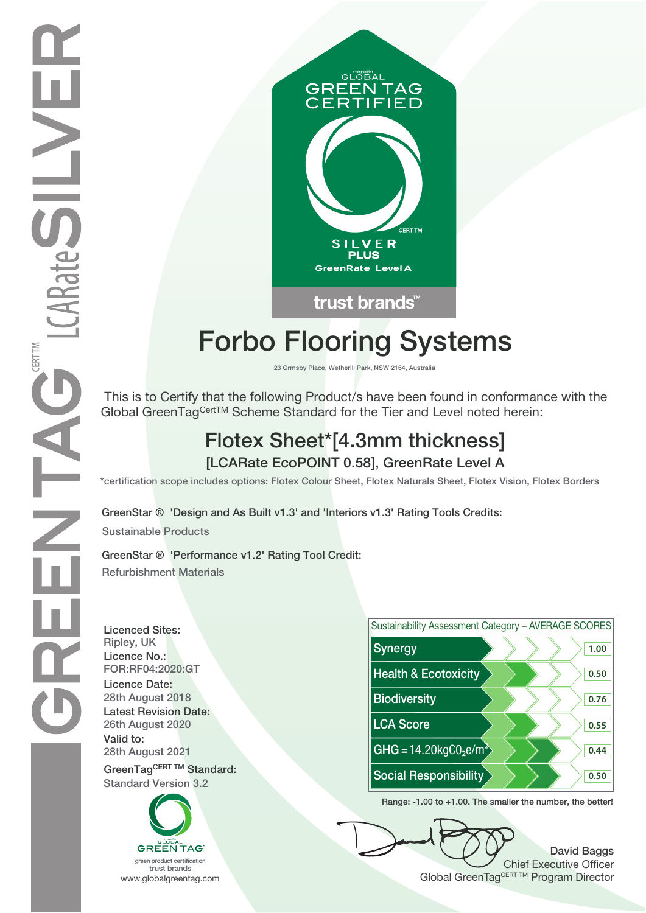

# **Forbo Flooring Systems**

**23 Ormsby Place, Wetherill Park, NSW 2164, Australia**

 This is to Certify that the following Product/s have been found in conformance with the Global GreenTagCertTM Scheme Standard for the Tier and Level noted herein:

## **Flotex Sheet\*[4.3mm thickness] [LCARate EcoPOINT 0.58], GreenRate Level A**

**\*certification scope includes options: Flotex Colour Sheet, Flotex Naturals Sheet, Flotex Vision, Flotex Borders**

**GreenStar ® 'Design and As Built v1.3' and 'Interiors v1.3' Rating Tools Credits:**

**Sustainable Products**

**GreenStar ® 'Performance v1.2' Rating Tool Credit: Refurbishment Materials**

**Licenced Sites: Licence No.: Licence Date: Latest Revision Date: Valid to:**

**Standard Version 3.2**





**Range: -1.00 to +1.00. The smaller the number, the better!**

**David Baggs** Chief Executive Officer WWW.globalgreentag.com **Program Director** Clobal GreenTagCERT TM Program Director